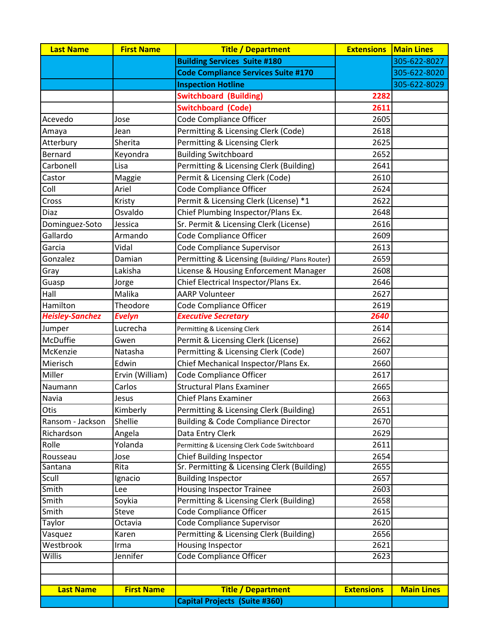| <b>Last Name</b>       | <b>First Name</b> | <b>Title / Department</b>                      | <b>Extensions</b> | <b>Main Lines</b> |
|------------------------|-------------------|------------------------------------------------|-------------------|-------------------|
|                        |                   | <b>Building Services Suite #180</b>            |                   | 305-622-8027      |
|                        |                   | <b>Code Compliance Services Suite #170</b>     |                   | 305-622-8020      |
|                        |                   | <b>Inspection Hotline</b>                      |                   | 305-622-8029      |
|                        |                   | <b>Switchboard (Building)</b>                  | 2282              |                   |
|                        |                   | <b>Switchboard (Code)</b>                      | 2611              |                   |
| Acevedo                | Jose              | Code Compliance Officer                        | 2605              |                   |
| Amaya                  | Jean              | Permitting & Licensing Clerk (Code)            | 2618              |                   |
| Atterbury              | Sherita           | Permitting & Licensing Clerk                   | 2625              |                   |
| Bernard                | Keyondra          | <b>Building Switchboard</b>                    | 2652              |                   |
| Carbonell              | Lisa              | Permitting & Licensing Clerk (Building)        | 2641              |                   |
| Castor                 | Maggie            | Permit & Licensing Clerk (Code)                | 2610              |                   |
| Coll                   | Ariel             | Code Compliance Officer                        | 2624              |                   |
| Cross                  | Kristy            | Permit & Licensing Clerk (License) *1          | 2622              |                   |
| Diaz                   | Osvaldo           | Chief Plumbing Inspector/Plans Ex.             | 2648              |                   |
| Dominguez-Soto         | Jessica           | Sr. Permit & Licensing Clerk (License)         | 2616              |                   |
| Gallardo               | Armando           | Code Compliance Officer                        | 2609              |                   |
| Garcia                 | Vidal             | <b>Code Compliance Supervisor</b>              | 2613              |                   |
| Gonzalez               | Damian            | Permitting & Licensing (Building/Plans Router) | 2659              |                   |
| Gray                   | Lakisha           | License & Housing Enforcement Manager          | 2608              |                   |
| Guasp                  | Jorge             | Chief Electrical Inspector/Plans Ex.           | 2646              |                   |
| Hall                   | Malika            | <b>AARP Volunteer</b>                          | 2627              |                   |
| Hamilton               | Theodore          | Code Compliance Officer                        | 2619              |                   |
| <b>Heisley-Sanchez</b> | <b>Evelyn</b>     | <b>Executive Secretary</b>                     | 2640              |                   |
| Jumper                 | Lucrecha          | Permitting & Licensing Clerk                   | 2614              |                   |
| McDuffie               | Gwen              | Permit & Licensing Clerk (License)             | 2662              |                   |
| McKenzie               | Natasha           | Permitting & Licensing Clerk (Code)            | 2607              |                   |
| Mierisch               | Edwin             | Chief Mechanical Inspector/Plans Ex.           | 2660              |                   |
| Miller                 | Ervin (William)   | Code Compliance Officer                        | 2617              |                   |
| Naumann                | Carlos            | <b>Structural Plans Examiner</b>               | 2665              |                   |
| Navia                  | Jesus             | <b>Chief Plans Examiner</b>                    | 2663              |                   |
| Otis                   | Kimberly          | Permitting & Licensing Clerk (Building)        | 2651              |                   |
| Ransom - Jackson       | Shellie           | <b>Building &amp; Code Compliance Director</b> | 2670              |                   |
| Richardson             | Angela            | Data Entry Clerk                               | 2629              |                   |
| Rolle                  | Yolanda           | Permitting & Licensing Clerk Code Switchboard  | 2611              |                   |
| Rousseau               | Jose              | <b>Chief Building Inspector</b>                | 2654              |                   |
| Santana                | Rita              | Sr. Permitting & Licensing Clerk (Building)    | 2655              |                   |
| Scull                  | Ignacio           | <b>Building Inspector</b>                      | 2657              |                   |
| Smith                  | Lee               | <b>Housing Inspector Trainee</b>               | 2603              |                   |
| Smith                  | Soykia            | Permitting & Licensing Clerk (Building)        | 2658              |                   |
| Smith                  | Steve             | Code Compliance Officer                        | 2615              |                   |
| Taylor                 | Octavia           | <b>Code Compliance Supervisor</b>              | 2620              |                   |
| Vasquez                | Karen             | Permitting & Licensing Clerk (Building)        | 2656              |                   |
| Westbrook              | Irma              | Housing Inspector                              | 2621              |                   |
| Willis                 | Jennifer          | <b>Code Compliance Officer</b>                 | 2623              |                   |
|                        |                   |                                                |                   |                   |
| <b>Last Name</b>       | <b>First Name</b> | <b>Title / Department</b>                      | <b>Extensions</b> | <b>Main Lines</b> |
|                        |                   | <b>Capital Projects (Suite #360)</b>           |                   |                   |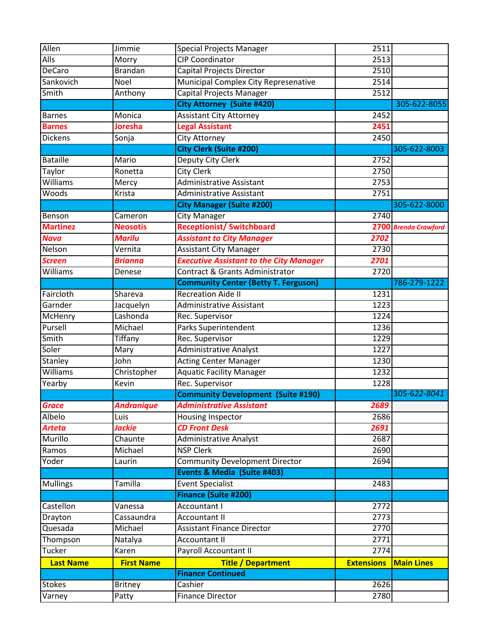| Allen<br>Jimmie<br><b>Special Projects Manager</b><br>2511                              |                      |
|-----------------------------------------------------------------------------------------|----------------------|
| <b>Alls</b><br><b>CIP Coordinator</b><br>2513<br>Morry                                  |                      |
| <b>DeCaro</b><br>2510<br>Capital Projects Director<br><b>Brandan</b>                    |                      |
| Sankovich<br><b>Municipal Complex City Represenative</b><br>2514<br>Noel                |                      |
| Smith<br><b>Capital Projects Manager</b><br>2512<br>Anthony                             |                      |
| <b>City Attorney (Suite #420)</b>                                                       | 305-622-8055         |
| <b>Assistant City Attorney</b><br>2452<br>Monica<br><b>Barnes</b>                       |                      |
| <b>Barnes</b><br><b>Joresha</b><br><b>Legal Assistant</b><br>2451                       |                      |
| <b>Dickens</b><br>2450<br><b>City Attorney</b><br>Sonja                                 |                      |
| <b>City Clerk (Suite #200)</b>                                                          | 305-622-8003         |
| <b>Bataille</b><br>Deputy City Clerk<br>2752<br>Mario                                   |                      |
| Taylor<br><b>City Clerk</b><br>2750<br>Ronetta                                          |                      |
| Williams<br><b>Administrative Assistant</b><br>2753<br>Mercy                            |                      |
| Woods<br>2751<br>Krista<br><b>Administrative Assistant</b>                              |                      |
| <b>City Manager (Suite #200)</b>                                                        | 305-622-8000         |
| <b>City Manager</b><br>2740<br>Benson<br>Cameron                                        |                      |
| <b>Martinez</b><br><b>Receptionist/ Switchboard</b><br><b>Neosotis</b>                  | 2700 Brenda Crawford |
| <b>Assistant to City Manager</b><br><b>Nava</b><br><b>Marilu</b><br>2702                |                      |
| <b>Assistant City Manager</b><br>Nelson<br>Vernita<br>2730                              |                      |
| <b>Executive Assistant to the City Manager</b><br><b>Screen</b><br>2701<br>Brianna      |                      |
| Williams<br>Contract & Grants Administrator<br>2720<br>Denese                           |                      |
| <b>Community Center (Betty T. Ferguson)</b>                                             | 786-279-1222         |
| <b>Recreation Aide II</b><br>Faircloth<br>1231<br>Shareva                               |                      |
| Garnder<br><b>Administrative Assistant</b><br>Jacquelyn<br>1223                         |                      |
| Lashonda<br>Rec. Supervisor<br>McHenry<br>1224                                          |                      |
| Pursell<br><b>Parks Superintendent</b><br>Michael<br>1236                               |                      |
| Smith<br>Rec. Supervisor<br>Tiffany<br>1229                                             |                      |
| Soler<br><b>Administrative Analyst</b><br>1227<br>Mary                                  |                      |
| Stanley<br><b>Acting Center Manager</b><br>1230<br>John                                 |                      |
| Williams<br><b>Aquatic Facility Manager</b><br>Christopher<br>1232                      |                      |
| Rec. Supervisor<br>1228<br>Yearby<br>Kevin                                              |                      |
| <b>Community Development (Suite #190)</b>                                               | 305-622-8041         |
| <b>Grace</b><br><b>Andranique</b><br><b>Administrative Assistant</b><br>2689            |                      |
| Albelo<br>Luis<br>Housing Inspector<br>2686                                             |                      |
| <b>CD Front Desk</b><br><b>Arteta</b><br>Jackie<br>2691                                 |                      |
| Murillo<br>2687<br>Chaunte<br><b>Administrative Analyst</b>                             |                      |
| Michael<br><b>NSP Clerk</b><br>2690<br>Ramos                                            |                      |
| Yoder<br><b>Community Development Director</b><br>2694<br>Laurin                        |                      |
| Events & Media (Suite #403)                                                             |                      |
| Tamilla<br><b>Event Specialist</b><br><b>Mullings</b><br>2483                           |                      |
| <b>Finance (Suite #200)</b>                                                             |                      |
| <b>Accountant I</b><br>Castellon<br>2772<br>Vanessa                                     |                      |
| Cassaundra<br>2773<br>Drayton<br><b>Accountant II</b>                                   |                      |
| Quesada<br>Michael<br><b>Assistant Finance Director</b><br>2770                         |                      |
| <b>Accountant II</b><br>2771<br>Thompson<br>Natalya                                     |                      |
| <b>Tucker</b><br>Payroll Accountant II<br>2774<br>Karen                                 |                      |
| <b>Extensions</b><br><b>Last Name</b><br><b>First Name</b><br><b>Title / Department</b> | <b>Main Lines</b>    |
| <b>Finance Continued</b>                                                                |                      |
| <b>Stokes</b><br>Cashier<br>2626                                                        |                      |
| <b>Britney</b>                                                                          |                      |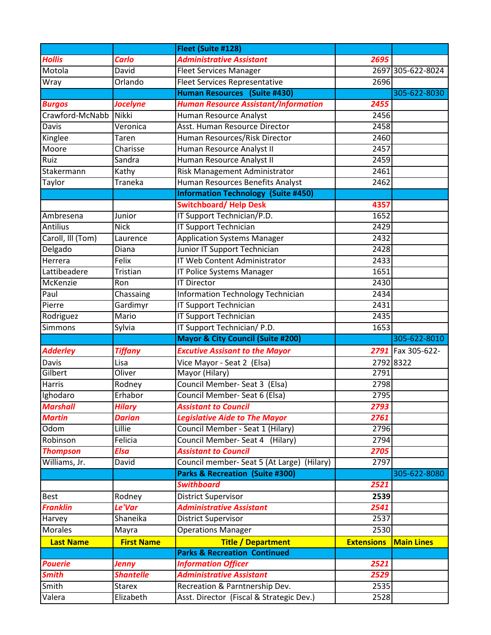|                   |                   | Fleet (Suite #128)                           |                   |                   |
|-------------------|-------------------|----------------------------------------------|-------------------|-------------------|
| <b>Hollis</b>     | <b>Carlo</b>      | <b>Administrative Assistant</b>              | 2695              |                   |
| Motola            | David             | <b>Fleet Services Manager</b>                |                   | 2697 305-622-8024 |
| Wray              | Orlando           | <b>Fleet Services Representative</b>         | 2696              |                   |
|                   |                   | Human Resources (Suite #430)                 |                   | 305-622-8030      |
| <b>Burgos</b>     | <b>Jocelyne</b>   | <b>Human Resource Assistant/Information</b>  | 2455              |                   |
| Crawford-McNabb   | <b>Nikki</b>      | Human Resource Analyst                       | 2456              |                   |
| Davis             | Veronica          | Asst. Human Resource Director                | 2458              |                   |
| Kinglee           | Taren             | Human Resources/Risk Director                | 2460              |                   |
| Moore             | Charisse          | Human Resource Analyst II                    | 2457              |                   |
| Ruiz              | Sandra            | Human Resource Analyst II                    | 2459              |                   |
| Stakermann        | Kathy             | Risk Management Administrator                | 2461              |                   |
| Taylor            | Traneka           | Human Resources Benefits Analyst             | 2462              |                   |
|                   |                   | <b>Information Technology (Suite #450)</b>   |                   |                   |
|                   |                   | <b>Switchboard/ Help Desk</b>                | 4357              |                   |
| Ambresena         | Junior            | IT Support Technician/P.D.                   | 1652              |                   |
| Antilius          | <b>Nick</b>       | IT Support Technician                        | 2429              |                   |
| Caroll, III (Tom) | Laurence          | <b>Application Systems Manager</b>           | 2432              |                   |
| Delgado           | Diana             | Junior IT Support Technician                 | 2428              |                   |
| Herrera           | Felix             | <b>IT Web Content Administrator</b>          | 2433              |                   |
| Lattibeadere      | Tristian          | IT Police Systems Manager                    | 1651              |                   |
| McKenzie          | Ron               | <b>IT Director</b>                           | 2430              |                   |
| Paul              | Chassaing         | Information Technology Technician            | 2434              |                   |
| Pierre            | Gardimyr          | IT Support Technician                        | 2431              |                   |
| Rodriguez         | Mario             | <b>IT Support Technician</b>                 | 2435              |                   |
| Simmons           | Sylvia            | IT Support Technician/ P.D.                  | 1653              |                   |
|                   |                   | <b>Mayor &amp; City Council (Suite #200)</b> |                   | 305-622-8010      |
| <b>Adderley</b>   | <b>Tiffany</b>    | <b>Excutive Assisant to the Mayor</b>        |                   | 2791 Fax 305-622- |
| Davis             | Lisa              | Vice Mayor - Seat 2 (Elsa)                   |                   | 2792 8322         |
| Gilbert           | Oliver            | Mayor (Hilary)                               | 2791              |                   |
| Harris            | Rodney            | Council Member- Seat 3 (Elsa)                | 2798              |                   |
| Ighodaro          | Erhabor           | Council Member- Seat 6 (Elsa)                | 2795              |                   |
| <b>Marshall</b>   | <b>Hilary</b>     | <b>Assistant to Council</b>                  | 2793              |                   |
| <b>Martin</b>     | <b>Darian</b>     | <b>Legislative Aide to The Mayor</b>         | 2761              |                   |
| Odom              | Lillie            | Council Member - Seat 1 (Hilary)             | 2796              |                   |
| Robinson          | Felicia           | Council Member-Seat 4 (Hilary)               | 2794              |                   |
| <b>Thompson</b>   | <b>Elsa</b>       | <b>Assistant to Council</b>                  | 2705              |                   |
| Williams, Jr.     | David             | Council member- Seat 5 (At Large) (Hilary)   | 2797              |                   |
|                   |                   | Parks & Recreation (Suite #300)              |                   | 305-622-8080      |
|                   |                   | <b>Swithboard</b>                            | 2521              |                   |
| <b>Best</b>       | Rodney            | <b>District Supervisor</b>                   | 2539              |                   |
| <b>Franklin</b>   | Le'Var            | <b>Administrative Assistant</b>              | 2541              |                   |
| Harvey            | Shaneika          | <b>District Supervisor</b>                   | 2537              |                   |
| <b>Morales</b>    | Mayra             | <b>Operations Manager</b>                    | 2530              |                   |
| <b>Last Name</b>  | <b>First Name</b> | <b>Title / Department</b>                    | <b>Extensions</b> | <b>Main Lines</b> |
|                   |                   | <b>Parks &amp; Recreation Continued</b>      |                   |                   |
| <b>Pouerie</b>    | Jenny             | <b>Information Officer</b>                   | 2521              |                   |
| <b>Smith</b>      | <b>Shantelle</b>  | <b>Administrative Assistant</b>              | 2529              |                   |
| Smith             | <b>Starex</b>     | Recreation & Parntnership Dev.               | 2535              |                   |
| Valera            | Elizabeth         | Asst. Director (Fiscal & Strategic Dev.)     | 2528              |                   |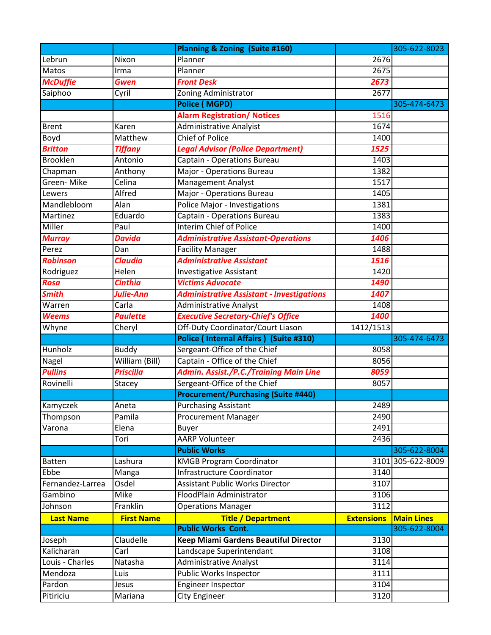|                     |                          | <b>Planning &amp; Zoning (Suite #160)</b>        |                   | 305-622-8023      |
|---------------------|--------------------------|--------------------------------------------------|-------------------|-------------------|
| Lebrun              | Nixon                    | Planner                                          | 2676              |                   |
| Matos               | Irma                     | Planner                                          | 2675              |                   |
| <b>McDuffie</b>     | <b>Gwen</b>              | <b>Front Desk</b>                                | 2673              |                   |
| Saiphoo             | Cyril                    | Zoning Administrator                             | 2677              |                   |
|                     |                          | <b>Police (MGPD)</b>                             |                   | 305-474-6473      |
|                     |                          | <b>Alarm Registration/ Notices</b>               | 1516              |                   |
| <b>Brent</b>        | Karen                    | <b>Administrative Analyist</b>                   | 1674              |                   |
| Boyd                | Matthew                  | <b>Chief of Police</b>                           | 1400              |                   |
| <b>Britton</b>      | <b>Tiffany</b>           | <b>Legal Advisor (Police Department)</b>         | 1525              |                   |
| <b>Brooklen</b>     | Antonio                  | Captain - Operations Bureau                      | 1403              |                   |
| Chapman             | Anthony                  | <b>Major - Operations Bureau</b>                 | 1382              |                   |
| Green-Mike          | Celina                   | <b>Management Analyst</b>                        | 1517              |                   |
| Lewers              | Alfred                   | Major - Operations Bureau                        | 1405              |                   |
| Mandlebloom         | Alan                     | <b>Police Major - Investigations</b>             | 1381              |                   |
| Martinez            | Eduardo                  | Captain - Operations Bureau                      | 1383              |                   |
| Miller              | Paul                     | <b>Interim Chief of Police</b>                   | 1400              |                   |
| <b>Murray</b>       | <b>Davida</b>            | <b>Administrative Assistant-Operations</b>       | 1406              |                   |
| Perez               | Dan                      | <b>Facility Manager</b>                          | 1488              |                   |
| <b>Robinson</b>     | <b>Claudia</b>           | <b>Administrative Assistant</b>                  | 1516              |                   |
| Rodriguez           | Helen                    | <b>Investigative Assistant</b>                   | 1420              |                   |
| Rosa                | <b>Cinthia</b>           | <b>Victims Advocate</b>                          | 1490              |                   |
| <b>Smith</b>        | Julie-Ann                | <b>Administrative Assistant - Investigations</b> | 1407              |                   |
| Warren              | Carla                    | Administrative Analyst                           | 1408              |                   |
| <b>Weems</b>        | <b>Paulette</b>          | <b>Executive Secretary-Chief's Office</b>        | 1400              |                   |
|                     | Cheryl                   | Off-Duty Coordinator/Court Liason                | 1412/1513         |                   |
| Whyne               |                          |                                                  |                   |                   |
|                     |                          | Police (Internal Affairs) (Suite #310)           |                   | 305-474-6473      |
| Hunholz             | <b>Buddy</b>             | Sergeant-Office of the Chief                     | 8058              |                   |
| Nagel               | William (Bill)           | Captain - Office of the Chief                    | 8056              |                   |
| <b>Pullins</b>      | <b>Priscilla</b>         | <b>Admin. Assist./P.C./Training Main Line</b>    | 8059              |                   |
| Rovinelli           | Stacey                   | Sergeant-Office of the Chief                     | 8057              |                   |
|                     |                          | <b>Procurement/Purchasing (Suite #440)</b>       |                   |                   |
| Kamyczek            | Aneta                    | <b>Purchasing Assistant</b>                      | 2489              |                   |
| Thompson            | Pamila                   | <b>Procurement Manager</b>                       | 2490              |                   |
| Varona              | Elena                    | <b>Buyer</b>                                     | 2491              |                   |
|                     | Tori                     | <b>AARP Volunteer</b>                            | 2436              |                   |
|                     |                          | <b>Public Works</b>                              |                   | 305-622-8004      |
| <b>Batten</b>       | Lashura                  | <b>KMGB Program Coordinator</b>                  |                   | 3101 305-622-8009 |
| Ebbe                | Manga                    | <b>Infrastructure Coordinator</b>                | 3140              |                   |
| Fernandez-Larrea    | Osdel                    | <b>Assistant Public Works Director</b>           | 3107              |                   |
| Gambino             | Mike                     | FloodPlain Administrator                         | 3106              |                   |
| Johnson             | Franklin                 | <b>Operations Manager</b>                        | 3112              |                   |
| <b>Last Name</b>    | <b>First Name</b>        | <b>Title / Department</b>                        | <b>Extensions</b> | <b>Main Lines</b> |
|                     |                          | <b>Public Works Cont.</b>                        |                   | 305-622-8004      |
| Joseph              | Claudelle                | Keep Miami Gardens Beautiful Director            | 3130              |                   |
| Kalicharan          | $\overline{\text{Carl}}$ | Landscape Superintendant                         | 3108              |                   |
| Louis - Charles     | Natasha                  | <b>Administrative Analyst</b>                    | 3114              |                   |
| Mendoza             | Luis                     | Public Works Inspector                           | 3111              |                   |
| Pardon<br>Pitiriciu | Jesus                    | Engineer Inspector<br><b>City Engineer</b>       | 3104<br>3120      |                   |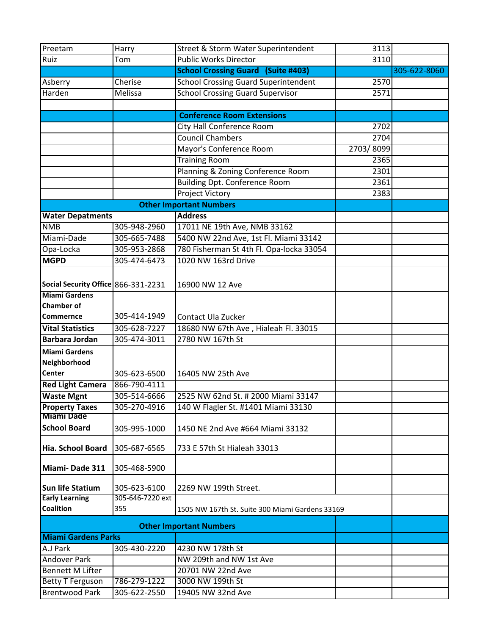| Preetam                                    | Harry            | Street & Storm Water Superintendent             | 3113      |              |
|--------------------------------------------|------------------|-------------------------------------------------|-----------|--------------|
| Ruiz                                       | Tom              | <b>Public Works Director</b>                    | 3110      |              |
|                                            |                  | <b>School Crossing Guard (Suite #403)</b>       |           | 305-622-8060 |
| Asberry                                    | Cherise          | <b>School Crossing Guard Superintendent</b>     | 2570      |              |
| Harden                                     | Melissa          | <b>School Crossing Guard Supervisor</b>         | 2571      |              |
|                                            |                  |                                                 |           |              |
|                                            |                  | <b>Conference Room Extensions</b>               |           |              |
|                                            |                  | City Hall Conference Room                       | 2702      |              |
|                                            |                  | <b>Council Chambers</b>                         | 2704      |              |
|                                            |                  | Mayor's Conference Room                         | 2703/8099 |              |
|                                            |                  | <b>Training Room</b>                            | 2365      |              |
|                                            |                  | Planning & Zoning Conference Room               | 2301      |              |
|                                            |                  | <b>Building Dpt. Conference Room</b>            | 2361      |              |
|                                            |                  | <b>Project Victory</b>                          | 2383      |              |
|                                            |                  | <b>Other Important Numbers</b>                  |           |              |
| <b>Water Depatments</b>                    |                  | <b>Address</b>                                  |           |              |
| <b>NMB</b>                                 | 305-948-2960     | 17011 NE 19th Ave, NMB 33162                    |           |              |
| Miami-Dade                                 | 305-665-7488     | 5400 NW 22nd Ave, 1st Fl. Miami 33142           |           |              |
| Opa-Locka                                  | 305-953-2868     | 780 Fisherman St 4th Fl. Opa-locka 33054        |           |              |
| <b>MGPD</b>                                | 305-474-6473     | 1020 NW 163rd Drive                             |           |              |
|                                            |                  |                                                 |           |              |
| Social Security Office 866-331-2231        |                  |                                                 |           |              |
| <b>Miami Gardens</b>                       |                  | 16900 NW 12 Ave                                 |           |              |
| <b>Chamber of</b>                          |                  |                                                 |           |              |
| <b>Commernce</b>                           | 305-414-1949     | Contact Ula Zucker                              |           |              |
| <b>Vital Statistics</b>                    | 305-628-7227     | 18680 NW 67th Ave, Hialeah Fl. 33015            |           |              |
| <b>Barbara Jordan</b>                      | 305-474-3011     | 2780 NW 167th St                                |           |              |
|                                            |                  |                                                 |           |              |
| <b>Miami Gardens</b><br>Neighborhood       |                  |                                                 |           |              |
| <b>Center</b>                              |                  |                                                 |           |              |
|                                            | 305-623-6500     | 16405 NW 25th Ave                               |           |              |
| <b>Red Light Camera</b>                    | 866-790-4111     | 2525 NW 62nd St. # 2000 Miami 33147             |           |              |
| <b>Waste Mgnt</b>                          | 305-514-6666     |                                                 |           |              |
| <b>Property Taxes</b><br><b>Miami Dade</b> | 305-270-4916     | 140 W Flagler St. #1401 Miami 33130             |           |              |
| <b>School Board</b>                        | 305-995-1000     | 1450 NE 2nd Ave #664 Miami 33132                |           |              |
|                                            |                  |                                                 |           |              |
| Hia. School Board                          | 305-687-6565     | 733 E 57th St Hialeah 33013                     |           |              |
|                                            |                  |                                                 |           |              |
| Miami-Dade 311                             | 305-468-5900     |                                                 |           |              |
|                                            |                  |                                                 |           |              |
| <b>Sun life Statium</b>                    | 305-623-6100     | 2269 NW 199th Street.                           |           |              |
| <b>Early Learning</b>                      | 305-646-7220 ext |                                                 |           |              |
| <b>Coalition</b>                           | 355              | 1505 NW 167th St. Suite 300 Miami Gardens 33169 |           |              |
|                                            |                  | <b>Other Important Numbers</b>                  |           |              |
| <b>Miami Gardens Parks</b>                 |                  |                                                 |           |              |
| A.J Park                                   | 305-430-2220     | 4230 NW 178th St                                |           |              |
| <b>Andover Park</b>                        |                  | NW 209th and NW 1st Ave                         |           |              |
| <b>Bennett M Lifter</b>                    |                  | 20701 NW 22nd Ave                               |           |              |
| <b>Betty T Ferguson</b>                    | 786-279-1222     | 3000 NW 199th St                                |           |              |
| <b>Brentwood Park</b>                      | 305-622-2550     | 19405 NW 32nd Ave                               |           |              |
|                                            |                  |                                                 |           |              |